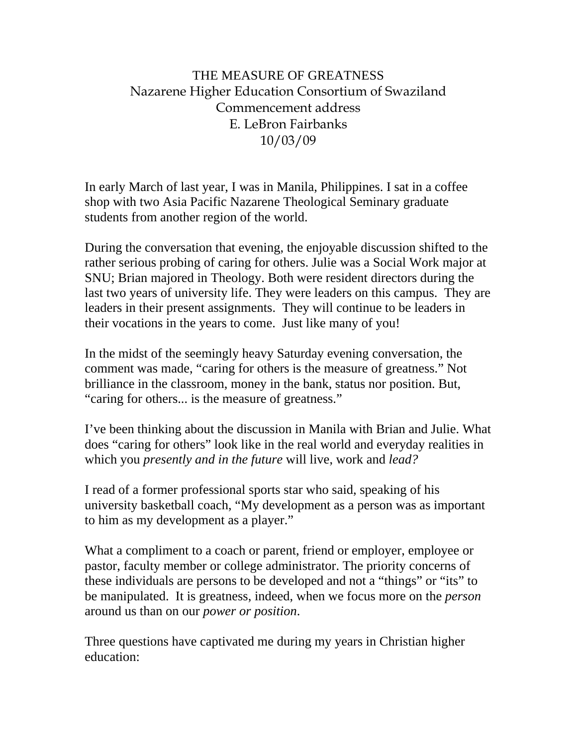# THE MEASURE OF GREATNESS Nazarene Higher Education Consortium of Swaziland Commencement address E. LeBron Fairbanks 10/03/09

In early March of last year, I was in Manila, Philippines. I sat in a coffee shop with two Asia Pacific Nazarene Theological Seminary graduate students from another region of the world.

During the conversation that evening, the enjoyable discussion shifted to the rather serious probing of caring for others. Julie was a Social Work major at SNU; Brian majored in Theology. Both were resident directors during the last two years of university life. They were leaders on this campus. They are leaders in their present assignments. They will continue to be leaders in their vocations in the years to come. Just like many of you!

In the midst of the seemingly heavy Saturday evening conversation, the comment was made, "caring for others is the measure of greatness." Not brilliance in the classroom, money in the bank, status nor position. But, "caring for others... is the measure of greatness."

I've been thinking about the discussion in Manila with Brian and Julie. What does "caring for others" look like in the real world and everyday realities in which you *presently and in the future* will live, work and *lead?* 

I read of a former professional sports star who said, speaking of his university basketball coach, "My development as a person was as important to him as my development as a player."

What a compliment to a coach or parent, friend or employer, employee or pastor, faculty member or college administrator. The priority concerns of these individuals are persons to be developed and not a "things" or "its" to be manipulated. It is greatness, indeed, when we focus more on the *person* around us than on our *power or position*.

Three questions have captivated me during my years in Christian higher education: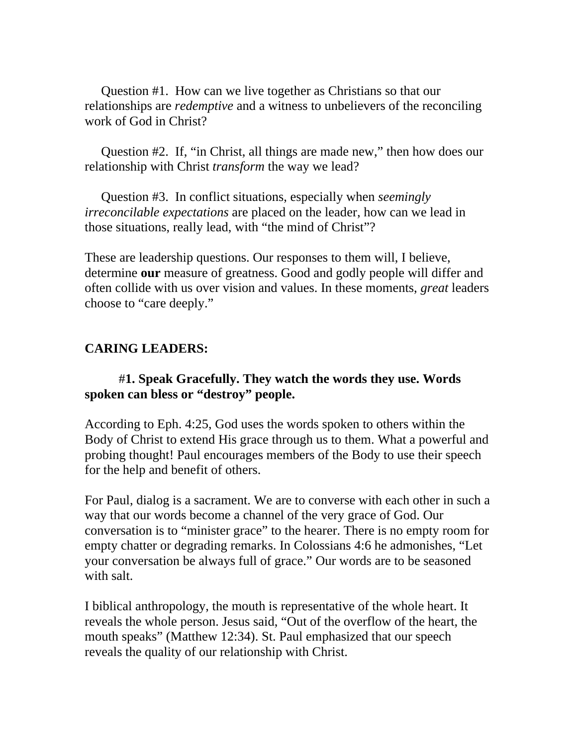Question #1. How can we live together as Christians so that our relationships are *redemptive* and a witness to unbelievers of the reconciling work of God in Christ?

 Question #2. If, "in Christ, all things are made new," then how does our relationship with Christ *transform* the way we lead?

 Question #3. In conflict situations, especially when *seemingly irreconcilable expectations* are placed on the leader, how can we lead in those situations, really lead, with "the mind of Christ"?

These are leadership questions. Our responses to them will, I believe, determine **our** measure of greatness. Good and godly people will differ and often collide with us over vision and values. In these moments, *great* leaders choose to "care deeply."

## **CARING LEADERS:**

#### #**1. Speak Gracefully. They watch the words they use. Words spoken can bless or "destroy" people.**

According to Eph. 4:25, God uses the words spoken to others within the Body of Christ to extend His grace through us to them. What a powerful and probing thought! Paul encourages members of the Body to use their speech for the help and benefit of others.

For Paul, dialog is a sacrament. We are to converse with each other in such a way that our words become a channel of the very grace of God. Our conversation is to "minister grace" to the hearer. There is no empty room for empty chatter or degrading remarks. In Colossians 4:6 he admonishes, "Let your conversation be always full of grace." Our words are to be seasoned with salt.

I biblical anthropology, the mouth is representative of the whole heart. It reveals the whole person. Jesus said, "Out of the overflow of the heart, the mouth speaks" (Matthew 12:34). St. Paul emphasized that our speech reveals the quality of our relationship with Christ.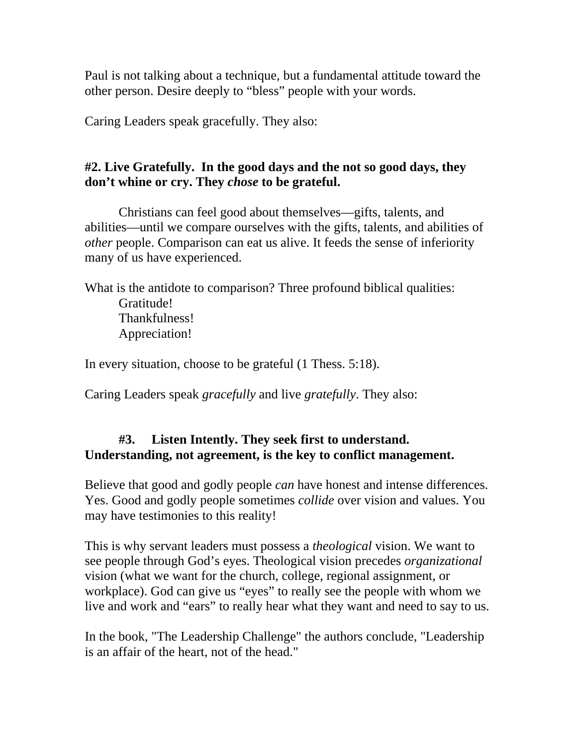Paul is not talking about a technique, but a fundamental attitude toward the other person. Desire deeply to "bless" people with your words.

Caring Leaders speak gracefully. They also:

# **#2. Live Gratefully. In the good days and the not so good days, they don't whine or cry. They** *chose* **to be grateful.**

Christians can feel good about themselves—gifts, talents, and abilities—until we compare ourselves with the gifts, talents, and abilities of *other* people. Comparison can eat us alive. It feeds the sense of inferiority many of us have experienced.

What is the antidote to comparison? Three profound biblical qualities: Gratitude! Thankfulness! Appreciation!

In every situation, choose to be grateful (1 Thess. 5:18).

Caring Leaders speak *gracefully* and live *gratefully*. They also:

## **#3. Listen Intently. They seek first to understand. Understanding, not agreement, is the key to conflict management.**

Believe that good and godly people *can* have honest and intense differences. Yes. Good and godly people sometimes *collide* over vision and values. You may have testimonies to this reality!

This is why servant leaders must possess a *theological* vision. We want to see people through God's eyes. Theological vision precedes *organizational*  vision (what we want for the church, college, regional assignment, or workplace). God can give us "eyes" to really see the people with whom we live and work and "ears" to really hear what they want and need to say to us.

In the book, "The Leadership Challenge" the authors conclude, "Leadership is an affair of the heart, not of the head."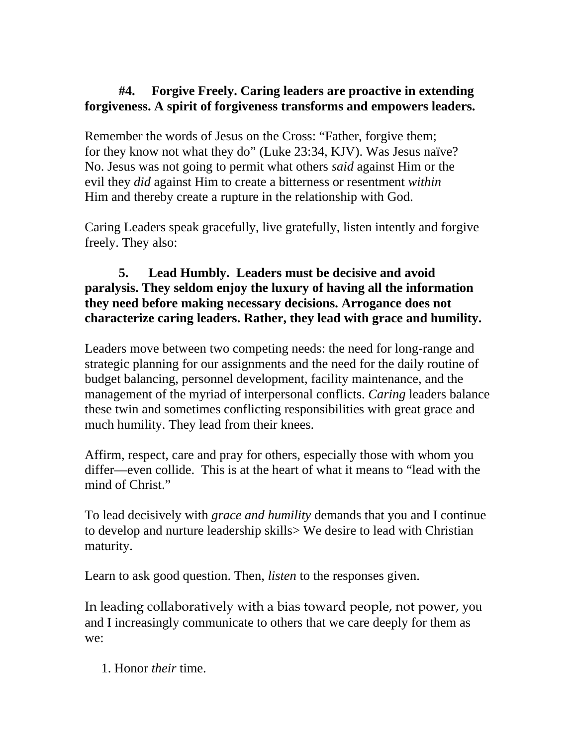### **#4. Forgive Freely. Caring leaders are proactive in extending forgiveness. A spirit of forgiveness transforms and empowers leaders.**

Remember the words of Jesus on the Cross: "Father, forgive them; for they know not what they do" (Luke 23:34, KJV). Was Jesus naïve? No. Jesus was not going to permit what others *said* against Him or the evil they *did* against Him to create a bitterness or resentment *within*  Him and thereby create a rupture in the relationship with God.

Caring Leaders speak gracefully, live gratefully, listen intently and forgive freely. They also:

#### **5. Lead Humbly. Leaders must be decisive and avoid paralysis. They seldom enjoy the luxury of having all the information they need before making necessary decisions. Arrogance does not characterize caring leaders. Rather, they lead with grace and humility.**

Leaders move between two competing needs: the need for long-range and strategic planning for our assignments and the need for the daily routine of budget balancing, personnel development, facility maintenance, and the management of the myriad of interpersonal conflicts. *Caring* leaders balance these twin and sometimes conflicting responsibilities with great grace and much humility. They lead from their knees.

Affirm, respect, care and pray for others, especially those with whom you differ—even collide. This is at the heart of what it means to "lead with the mind of Christ."

To lead decisively with *grace and humility* demands that you and I continue to develop and nurture leadership skills> We desire to lead with Christian maturity.

Learn to ask good question. Then, *listen* to the responses given.

In leading collaboratively with a bias toward people, not power, you and I increasingly communicate to others that we care deeply for them as we:

1. Honor *their* time.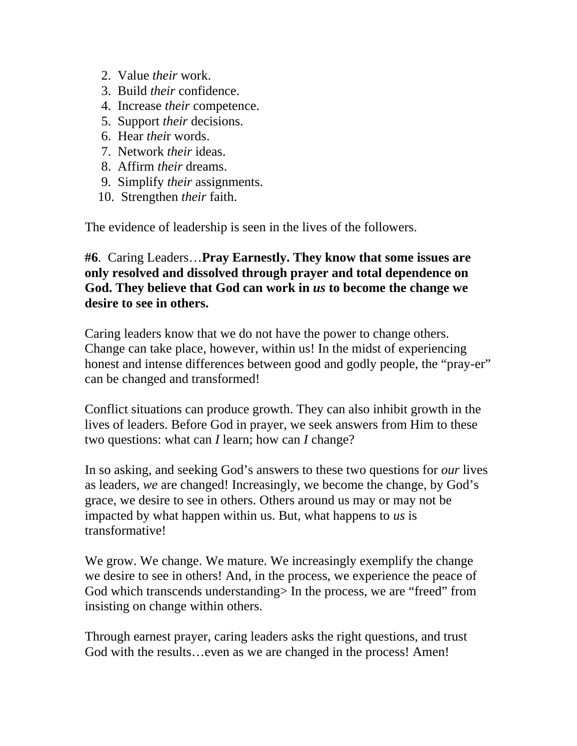- 2. Value *their* work.
- 3. Build *their* confidence.
- 4. Increase *their* competence.
- 5. Support *their* decisions.
- 6. Hear *thei*r words.
- 7. Network *their* ideas.
- 8. Affirm *their* dreams.
- 9. Simplify *their* assignments.
- 10. Strengthen *their* faith.

The evidence of leadership is seen in the lives of the followers.

### **#6**. Caring Leaders…**Pray Earnestly. They know that some issues are only resolved and dissolved through prayer and total dependence on God. They believe that God can work in** *us* **to become the change we desire to see in others.**

Caring leaders know that we do not have the power to change others. Change can take place, however, within us! In the midst of experiencing honest and intense differences between good and godly people, the "pray-er" can be changed and transformed!

Conflict situations can produce growth. They can also inhibit growth in the lives of leaders. Before God in prayer, we seek answers from Him to these two questions: what can *I* learn; how can *I* change?

In so asking, and seeking God's answers to these two questions for *our* lives as leaders, *we* are changed! Increasingly, we become the change, by God's grace, we desire to see in others. Others around us may or may not be impacted by what happen within us. But, what happens to *us* is transformative!

We grow. We change. We mature. We increasingly exemplify the change we desire to see in others! And, in the process, we experience the peace of God which transcends understanding> In the process, we are "freed" from insisting on change within others.

Through earnest prayer, caring leaders asks the right questions, and trust God with the results...even as we are changed in the process! Amen!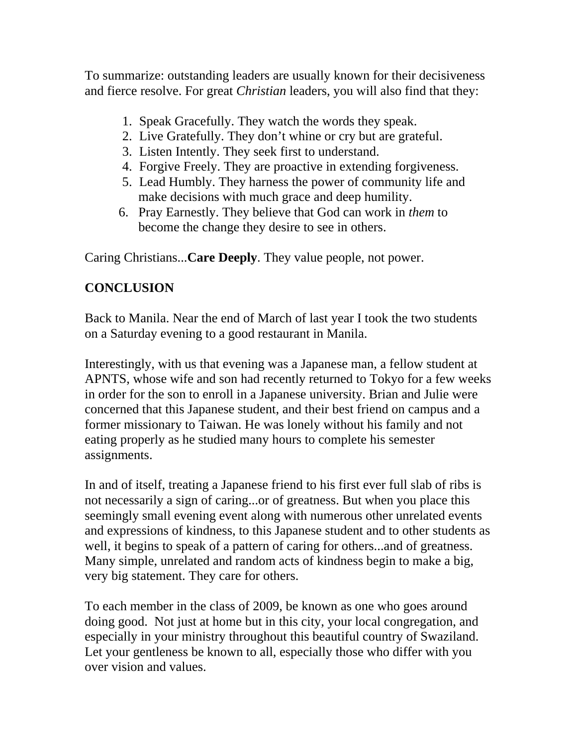To summarize: outstanding leaders are usually known for their decisiveness and fierce resolve. For great *Christian* leaders, you will also find that they:

- 1. Speak Gracefully. They watch the words they speak.
- 2. Live Gratefully. They don't whine or cry but are grateful.
- 3. Listen Intently. They seek first to understand.
- 4. Forgive Freely. They are proactive in extending forgiveness.
- 5. Lead Humbly. They harness the power of community life and make decisions with much grace and deep humility.
- 6. Pray Earnestly. They believe that God can work in *them* to become the change they desire to see in others.

Caring Christians...**Care Deeply**. They value people, not power.

# **CONCLUSION**

Back to Manila. Near the end of March of last year I took the two students on a Saturday evening to a good restaurant in Manila.

Interestingly, with us that evening was a Japanese man, a fellow student at APNTS, whose wife and son had recently returned to Tokyo for a few weeks in order for the son to enroll in a Japanese university. Brian and Julie were concerned that this Japanese student, and their best friend on campus and a former missionary to Taiwan. He was lonely without his family and not eating properly as he studied many hours to complete his semester assignments.

In and of itself, treating a Japanese friend to his first ever full slab of ribs is not necessarily a sign of caring...or of greatness. But when you place this seemingly small evening event along with numerous other unrelated events and expressions of kindness, to this Japanese student and to other students as well, it begins to speak of a pattern of caring for others...and of greatness. Many simple, unrelated and random acts of kindness begin to make a big, very big statement. They care for others.

To each member in the class of 2009, be known as one who goes around doing good. Not just at home but in this city, your local congregation, and especially in your ministry throughout this beautiful country of Swaziland. Let your gentleness be known to all, especially those who differ with you over vision and values.